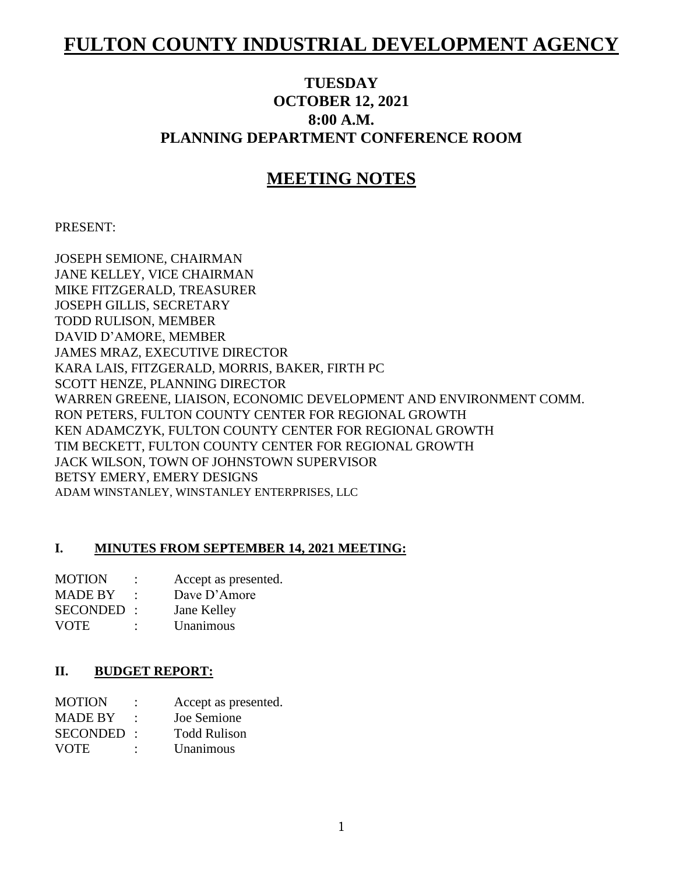# **FULTON COUNTY INDUSTRIAL DEVELOPMENT AGENCY**

# **TUESDAY OCTOBER 12, 2021 8:00 A.M. PLANNING DEPARTMENT CONFERENCE ROOM**

# **MEETING NOTES**

### PRESENT:

JOSEPH SEMIONE, CHAIRMAN JANE KELLEY, VICE CHAIRMAN MIKE FITZGERALD, TREASURER JOSEPH GILLIS, SECRETARY TODD RULISON, MEMBER DAVID D'AMORE, MEMBER JAMES MRAZ, EXECUTIVE DIRECTOR KARA LAIS, FITZGERALD, MORRIS, BAKER, FIRTH PC SCOTT HENZE, PLANNING DIRECTOR WARREN GREENE, LIAISON, ECONOMIC DEVELOPMENT AND ENVIRONMENT COMM. RON PETERS, FULTON COUNTY CENTER FOR REGIONAL GROWTH KEN ADAMCZYK, FULTON COUNTY CENTER FOR REGIONAL GROWTH TIM BECKETT, FULTON COUNTY CENTER FOR REGIONAL GROWTH JACK WILSON, TOWN OF JOHNSTOWN SUPERVISOR BETSY EMERY, EMERY DESIGNS ADAM WINSTANLEY, WINSTANLEY ENTERPRISES, LLC

# **I. MINUTES FROM SEPTEMBER 14, 2021 MEETING:**

| <b>MOTION</b>  | ٠ | Accept as presented. |
|----------------|---|----------------------|
| <b>MADE BY</b> |   | Dave $D'$ Amore      |
| SECONDED:      |   | Jane Kelley          |
| <b>VOTE</b>    | ٠ | Unanimous            |

#### **II. BUDGET REPORT:**

| <b>MOTION</b>  | Accept as presented. |
|----------------|----------------------|
| <b>MADE BY</b> | Joe Semione          |
| SECONDED :     | <b>Todd Rulison</b>  |
| <b>VOTE</b>    | Unanimous            |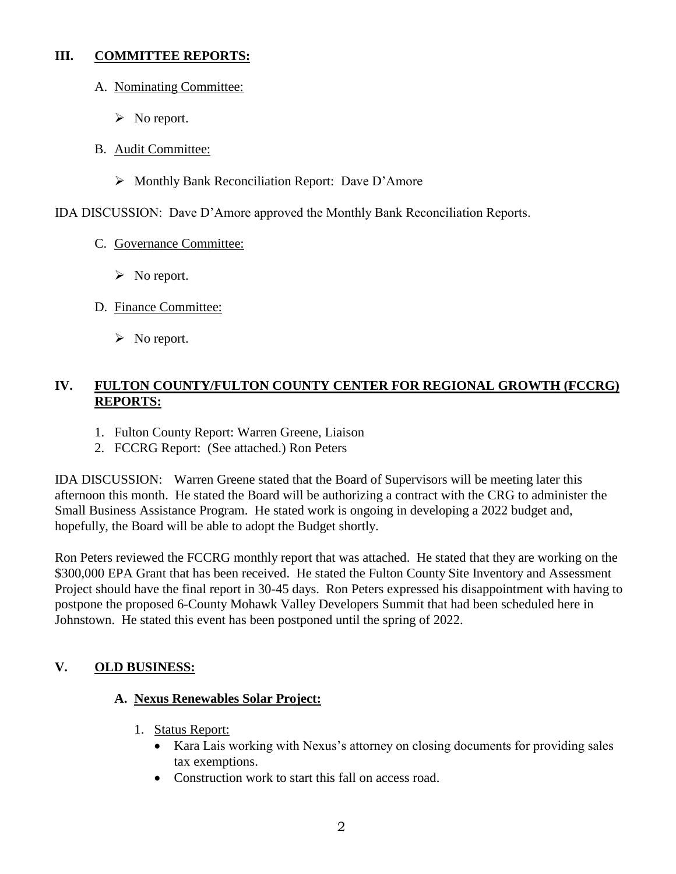### **III. COMMITTEE REPORTS:**

- A. Nominating Committee:
	- $\triangleright$  No report.
- B. Audit Committee:
	- Monthly Bank Reconciliation Report: Dave D'Amore

IDA DISCUSSION: Dave D'Amore approved the Monthly Bank Reconciliation Reports.

- C. Governance Committee:
	- $\triangleright$  No report.
- D. Finance Committee:
	- $\triangleright$  No report.

# **IV. FULTON COUNTY/FULTON COUNTY CENTER FOR REGIONAL GROWTH (FCCRG) REPORTS:**

- 1. Fulton County Report: Warren Greene, Liaison
- 2. FCCRG Report: (See attached.) Ron Peters

IDA DISCUSSION: Warren Greene stated that the Board of Supervisors will be meeting later this afternoon this month. He stated the Board will be authorizing a contract with the CRG to administer the Small Business Assistance Program. He stated work is ongoing in developing a 2022 budget and, hopefully, the Board will be able to adopt the Budget shortly.

Ron Peters reviewed the FCCRG monthly report that was attached. He stated that they are working on the \$300,000 EPA Grant that has been received. He stated the Fulton County Site Inventory and Assessment Project should have the final report in 30-45 days. Ron Peters expressed his disappointment with having to postpone the proposed 6-County Mohawk Valley Developers Summit that had been scheduled here in Johnstown. He stated this event has been postponed until the spring of 2022.

# **V. OLD BUSINESS:**

# **A. Nexus Renewables Solar Project:**

- 1. Status Report:
	- Kara Lais working with Nexus's attorney on closing documents for providing sales tax exemptions.
	- Construction work to start this fall on access road.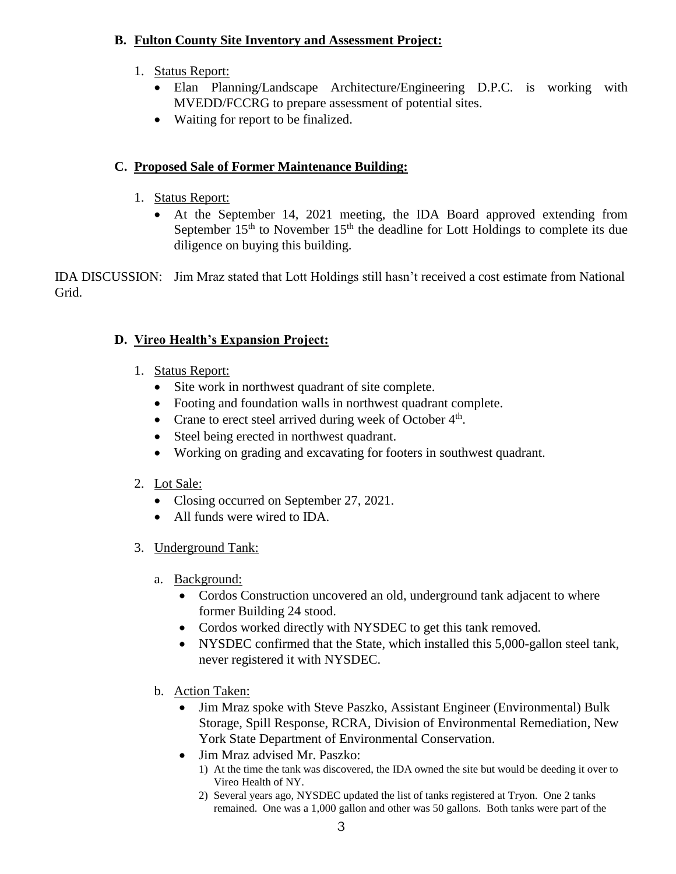# **B. Fulton County Site Inventory and Assessment Project:**

- 1. Status Report:
	- Elan Planning/Landscape Architecture/Engineering D.P.C. is working with MVEDD/FCCRG to prepare assessment of potential sites.
	- Waiting for report to be finalized.

# **C. Proposed Sale of Former Maintenance Building:**

- 1. Status Report:
	- At the September 14, 2021 meeting, the IDA Board approved extending from September  $15<sup>th</sup>$  to November  $15<sup>th</sup>$  the deadline for Lott Holdings to complete its due diligence on buying this building.

IDA DISCUSSION: Jim Mraz stated that Lott Holdings still hasn't received a cost estimate from National Grid.

# **D. Vireo Health's Expansion Project:**

- 1. Status Report:
	- Site work in northwest quadrant of site complete.
	- Footing and foundation walls in northwest quadrant complete.
	- Crane to erect steel arrived during week of October  $4<sup>th</sup>$ .
	- Steel being erected in northwest quadrant.
	- Working on grading and excavating for footers in southwest quadrant.

# 2. Lot Sale:

- Closing occurred on September 27, 2021.
- All funds were wired to IDA.
- 3. Underground Tank:
	- a. Background:
		- Cordos Construction uncovered an old, underground tank adjacent to where former Building 24 stood.
		- Cordos worked directly with NYSDEC to get this tank removed.
		- NYSDEC confirmed that the State, which installed this 5,000-gallon steel tank, never registered it with NYSDEC.
	- b. Action Taken:
		- Jim Mraz spoke with Steve Paszko, Assistant Engineer (Environmental) Bulk Storage, Spill Response, RCRA, Division of Environmental Remediation, New York State Department of Environmental Conservation.
		- Jim Mraz advised Mr. Paszko:
			- 1) At the time the tank was discovered, the IDA owned the site but would be deeding it over to Vireo Health of NY.
			- 2) Several years ago, NYSDEC updated the list of tanks registered at Tryon. One 2 tanks remained. One was a 1,000 gallon and other was 50 gallons. Both tanks were part of the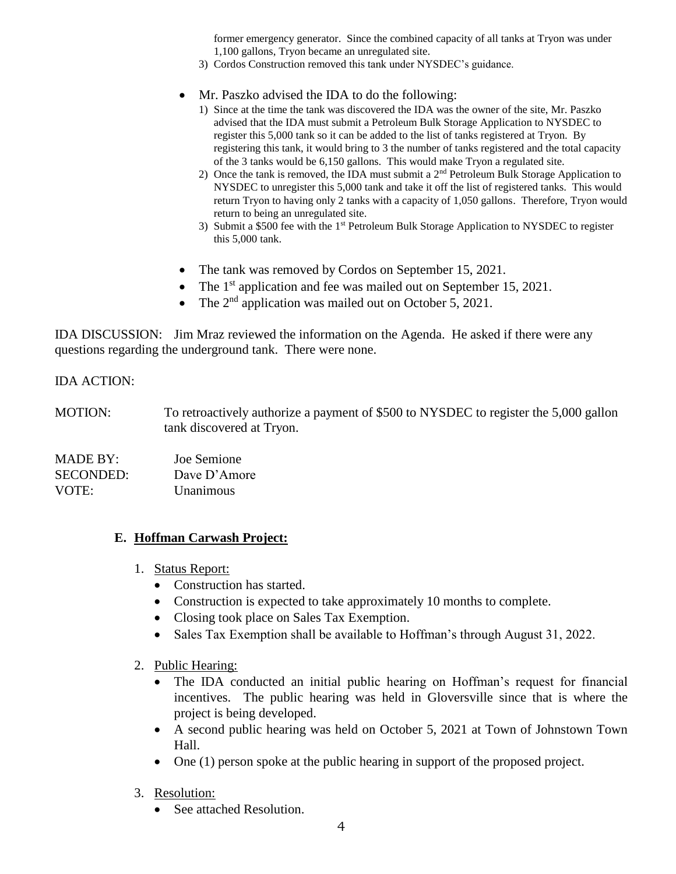former emergency generator. Since the combined capacity of all tanks at Tryon was under 1,100 gallons, Tryon became an unregulated site.

- 3) Cordos Construction removed this tank under NYSDEC's guidance.
- Mr. Paszko advised the IDA to do the following:
	- 1) Since at the time the tank was discovered the IDA was the owner of the site, Mr. Paszko advised that the IDA must submit a Petroleum Bulk Storage Application to NYSDEC to register this 5,000 tank so it can be added to the list of tanks registered at Tryon. By registering this tank, it would bring to 3 the number of tanks registered and the total capacity of the 3 tanks would be 6,150 gallons. This would make Tryon a regulated site.
	- 2) Once the tank is removed, the IDA must submit a 2nd Petroleum Bulk Storage Application to NYSDEC to unregister this 5,000 tank and take it off the list of registered tanks. This would return Tryon to having only 2 tanks with a capacity of 1,050 gallons. Therefore, Tryon would return to being an unregulated site.
	- 3) Submit a \$500 fee with the 1<sup>st</sup> Petroleum Bulk Storage Application to NYSDEC to register this 5,000 tank.
- The tank was removed by Cordos on September 15, 2021.
- The 1<sup>st</sup> application and fee was mailed out on September 15, 2021.
- The  $2<sup>nd</sup>$  application was mailed out on October 5, 2021.

IDA DISCUSSION: Jim Mraz reviewed the information on the Agenda. He asked if there were any questions regarding the underground tank. There were none.

#### IDA ACTION:

MOTION: To retroactively authorize a payment of \$500 to NYSDEC to register the 5,000 gallon tank discovered at Tryon.

MADE BY: Joe Semione SECONDED: Dave D'Amore VOTE: Unanimous

#### **E. Hoffman Carwash Project:**

- 1. Status Report:
	- Construction has started.
	- Construction is expected to take approximately 10 months to complete.
	- Closing took place on Sales Tax Exemption.
	- Sales Tax Exemption shall be available to Hoffman's through August 31, 2022.

#### 2. Public Hearing:

- The IDA conducted an initial public hearing on Hoffman's request for financial incentives. The public hearing was held in Gloversville since that is where the project is being developed.
- A second public hearing was held on October 5, 2021 at Town of Johnstown Town Hall.
- One (1) person spoke at the public hearing in support of the proposed project.
- 3. Resolution:
	- See attached Resolution.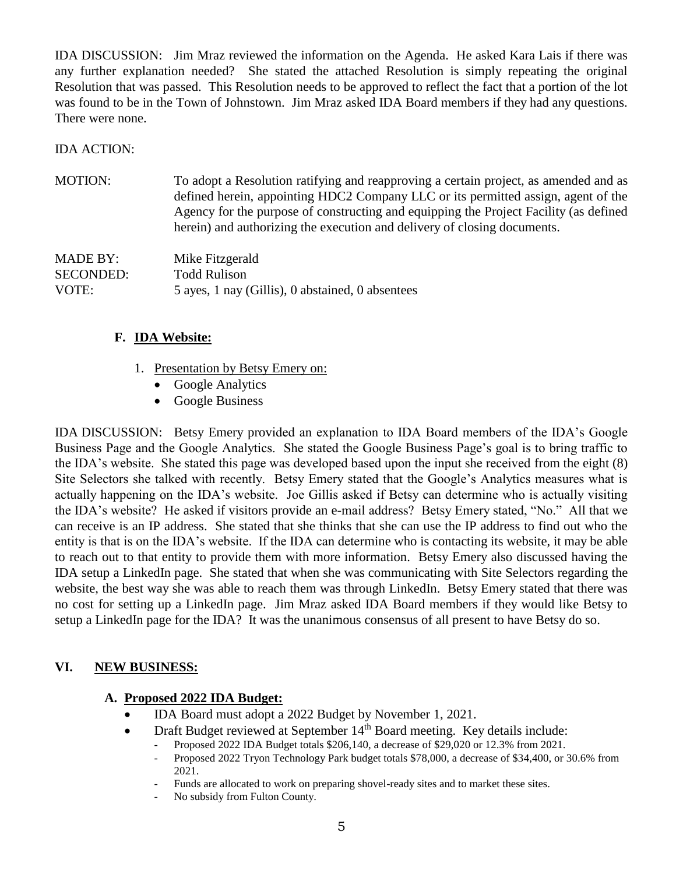IDA DISCUSSION: Jim Mraz reviewed the information on the Agenda. He asked Kara Lais if there was any further explanation needed? She stated the attached Resolution is simply repeating the original Resolution that was passed. This Resolution needs to be approved to reflect the fact that a portion of the lot was found to be in the Town of Johnstown. Jim Mraz asked IDA Board members if they had any questions. There were none.

IDA ACTION:

| <b>MOTION:</b>   | To adopt a Resolution ratifying and reapproving a certain project, as amended and as<br>defined herein, appointing HDC2 Company LLC or its permitted assign, agent of the<br>Agency for the purpose of constructing and equipping the Project Facility (as defined<br>herein) and authorizing the execution and delivery of closing documents. |
|------------------|------------------------------------------------------------------------------------------------------------------------------------------------------------------------------------------------------------------------------------------------------------------------------------------------------------------------------------------------|
| <b>MADE BY:</b>  | Mike Fitzgerald                                                                                                                                                                                                                                                                                                                                |
| <b>SECONDED:</b> | <b>Todd Rulison</b>                                                                                                                                                                                                                                                                                                                            |
| VOTE:            | 5 ayes, 1 nay (Gillis), 0 abstained, 0 absentees                                                                                                                                                                                                                                                                                               |

### **F. IDA Website:**

- 1. Presentation by Betsy Emery on:
	- Google Analytics
	- Google Business

IDA DISCUSSION: Betsy Emery provided an explanation to IDA Board members of the IDA's Google Business Page and the Google Analytics. She stated the Google Business Page's goal is to bring traffic to the IDA's website. She stated this page was developed based upon the input she received from the eight (8) Site Selectors she talked with recently. Betsy Emery stated that the Google's Analytics measures what is actually happening on the IDA's website. Joe Gillis asked if Betsy can determine who is actually visiting the IDA's website? He asked if visitors provide an e-mail address? Betsy Emery stated, "No." All that we can receive is an IP address. She stated that she thinks that she can use the IP address to find out who the entity is that is on the IDA's website. If the IDA can determine who is contacting its website, it may be able to reach out to that entity to provide them with more information. Betsy Emery also discussed having the IDA setup a LinkedIn page. She stated that when she was communicating with Site Selectors regarding the website, the best way she was able to reach them was through LinkedIn. Betsy Emery stated that there was no cost for setting up a LinkedIn page. Jim Mraz asked IDA Board members if they would like Betsy to setup a LinkedIn page for the IDA? It was the unanimous consensus of all present to have Betsy do so.

# **VI. NEW BUSINESS:**

#### **A. Proposed 2022 IDA Budget:**

- IDA Board must adopt a 2022 Budget by November 1, 2021.
- Draft Budget reviewed at September 14<sup>th</sup> Board meeting. Key details include:
	- Proposed 2022 IDA Budget totals \$206,140, a decrease of \$29,020 or 12.3% from 2021.
	- Proposed 2022 Tryon Technology Park budget totals \$78,000, a decrease of \$34,400, or 30.6% from 2021.
	- Funds are allocated to work on preparing shovel-ready sites and to market these sites.
	- No subsidy from Fulton County.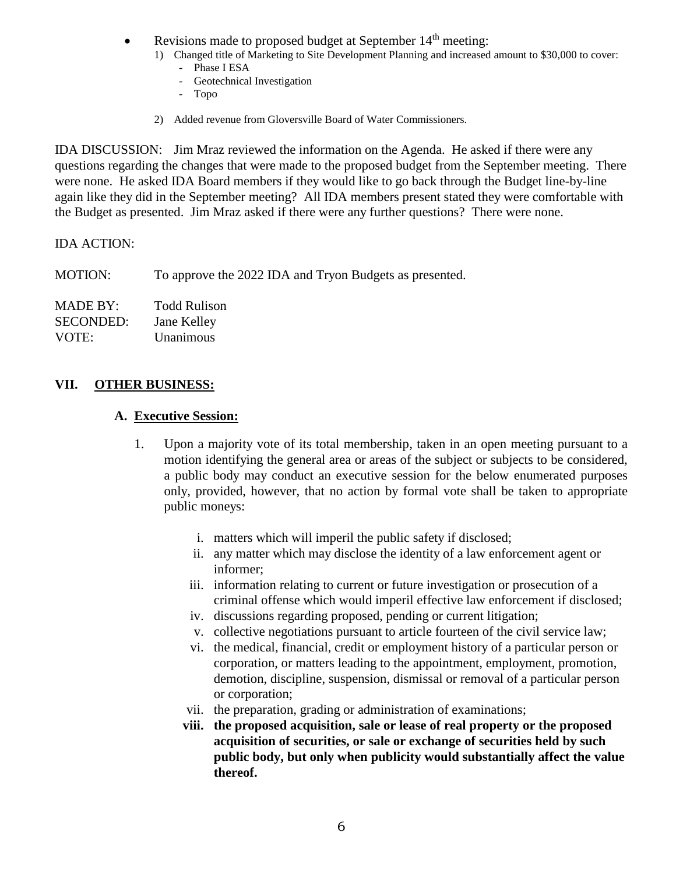- Revisions made to proposed budget at September 14<sup>th</sup> meeting:
	- 1) Changed title of Marketing to Site Development Planning and increased amount to \$30,000 to cover:
		- Phase I ESA
		- Geotechnical Investigation
		- Topo
	- 2) Added revenue from Gloversville Board of Water Commissioners.

IDA DISCUSSION: Jim Mraz reviewed the information on the Agenda. He asked if there were any questions regarding the changes that were made to the proposed budget from the September meeting. There were none. He asked IDA Board members if they would like to go back through the Budget line-by-line again like they did in the September meeting? All IDA members present stated they were comfortable with the Budget as presented. Jim Mraz asked if there were any further questions? There were none.

### IDA ACTION:

MOTION: To approve the 2022 IDA and Tryon Budgets as presented.

| MADE BY:         | <b>Todd Rulison</b> |
|------------------|---------------------|
| <b>SECONDED:</b> | Jane Kelley         |
| VOTE:            | Unanimous           |

# **VII. OTHER BUSINESS:**

#### **A. Executive Session:**

- 1. Upon a majority vote of its total membership, taken in an open meeting pursuant to a motion identifying the general area or areas of the subject or subjects to be considered, a public body may conduct an executive session for the below enumerated purposes only, provided, however, that no action by formal vote shall be taken to appropriate public moneys:
	- i. matters which will imperil the public safety if disclosed;
	- ii. any matter which may disclose the identity of a law enforcement agent or informer;
	- iii. information relating to current or future investigation or prosecution of a criminal offense which would imperil effective law enforcement if disclosed;
	- iv. discussions regarding proposed, pending or current litigation;
	- v. collective negotiations pursuant to article fourteen of the civil service law;
	- vi. the medical, financial, credit or employment history of a particular person or corporation, or matters leading to the appointment, employment, promotion, demotion, discipline, suspension, dismissal or removal of a particular person or corporation;
	- vii. the preparation, grading or administration of examinations;
	- **viii. the proposed acquisition, sale or lease of real property or the proposed acquisition of securities, or sale or exchange of securities held by such public body, but only when publicity would substantially affect the value thereof.**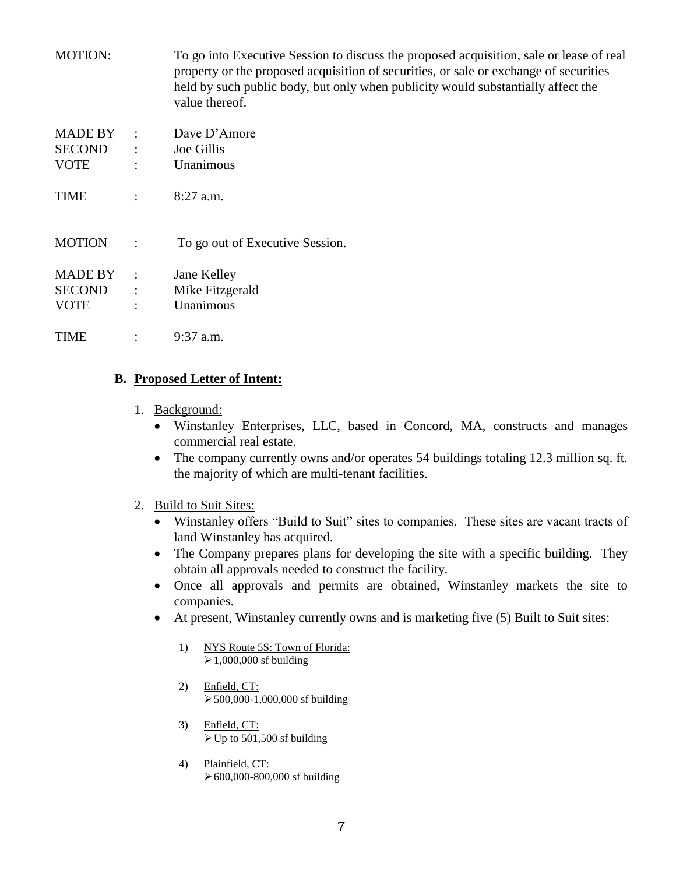| <b>MOTION:</b>           |                                   | To go into Executive Session to discuss the proposed acquisition, sale or lease of real<br>property or the proposed acquisition of securities, or sale or exchange of securities<br>held by such public body, but only when publicity would substantially affect the<br>value thereof. |
|--------------------------|-----------------------------------|----------------------------------------------------------------------------------------------------------------------------------------------------------------------------------------------------------------------------------------------------------------------------------------|
| MADE BY<br><b>SECOND</b> | $\sim 10$<br>$\ddot{\phantom{a}}$ | Dave D'Amore<br>Joe Gillis                                                                                                                                                                                                                                                             |
| <b>VOTE</b>              | $\ddot{\cdot}$                    | Unanimous                                                                                                                                                                                                                                                                              |
| TIME                     | $\ddot{\cdot}$                    | 8:27 a.m.                                                                                                                                                                                                                                                                              |
| <b>MOTION</b>            | $\ddot{\cdot}$                    | To go out of Executive Session.                                                                                                                                                                                                                                                        |
| MADE BY                  | $\cdot$ :                         | Jane Kelley                                                                                                                                                                                                                                                                            |
| <b>SECOND</b>            | $\ddot{\phantom{a}}$              | Mike Fitzgerald                                                                                                                                                                                                                                                                        |
| <b>VOTE</b>              | $\ddot{\cdot}$                    | Unanimous                                                                                                                                                                                                                                                                              |
| TIME                     | $\ddot{\cdot}$                    | $9:37$ a.m.                                                                                                                                                                                                                                                                            |

# **B. Proposed Letter of Intent:**

- 1. Background:
	- Winstanley Enterprises, LLC, based in Concord, MA, constructs and manages commercial real estate.
	- The company currently owns and/or operates 54 buildings totaling 12.3 million sq. ft. the majority of which are multi-tenant facilities.
- 2. Build to Suit Sites:
	- Winstanley offers "Build to Suit" sites to companies. These sites are vacant tracts of land Winstanley has acquired.
	- The Company prepares plans for developing the site with a specific building. They obtain all approvals needed to construct the facility.
	- Once all approvals and permits are obtained, Winstanley markets the site to companies.
	- At present, Winstanley currently owns and is marketing five (5) Built to Suit sites:
		- 1) NYS Route 5S: Town of Florida:  $\geq 1,000,000$  sf building
		- 2) Enfield, CT:  $\geq 500,000-1,000,000$  sf building
		- 3) Enfield, CT:  $\triangleright$  Up to 501,500 sf building
		- 4) Plainfield, CT: 600,000-800,000 sf building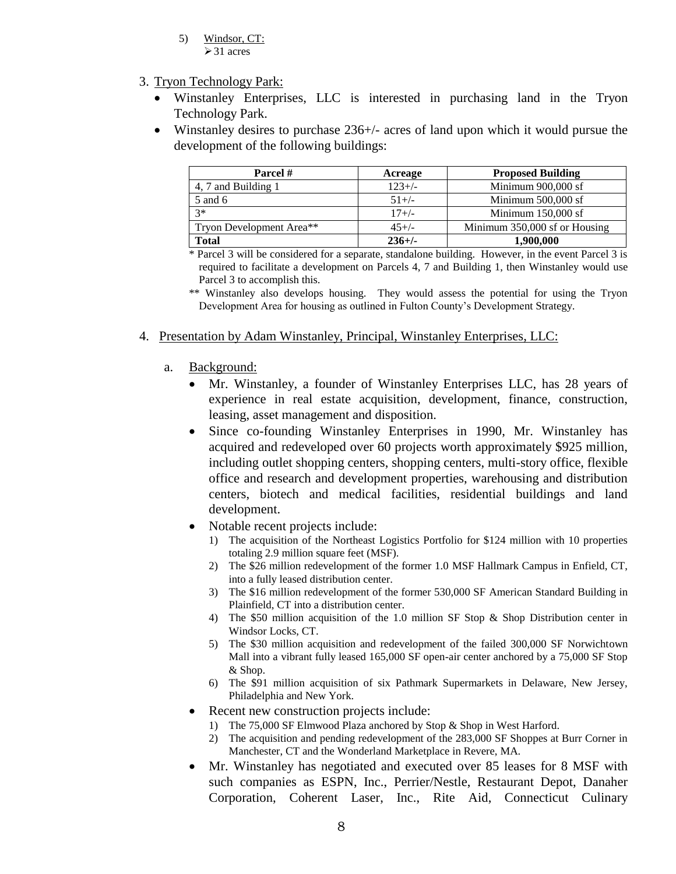- 5) Windsor, CT:  $\geq$  31 acres
- 3. Tryon Technology Park:
	- Winstanley Enterprises, LLC is interested in purchasing land in the Tryon Technology Park.
	- Winstanley desires to purchase 236+/- acres of land upon which it would pursue the development of the following buildings:

| Parcel #                 | Acreage  | <b>Proposed Building</b>      |
|--------------------------|----------|-------------------------------|
| 4, 7 and Building 1      | $123+/-$ | Minimum 900,000 sf            |
| 5 and 6                  | $51+/-$  | Minimum 500,000 sf            |
| $3*$                     | $17+/-$  | Minimum 150,000 sf            |
| Tryon Development Area** | $45+/-$  | Minimum 350,000 sf or Housing |
| Total                    | $236+/-$ | 1.900.000                     |

\* Parcel 3 will be considered for a separate, standalone building. However, in the event Parcel 3 is required to facilitate a development on Parcels 4, 7 and Building 1, then Winstanley would use Parcel 3 to accomplish this.

\*\* Winstanley also develops housing. They would assess the potential for using the Tryon Development Area for housing as outlined in Fulton County's Development Strategy.

- 4. Presentation by Adam Winstanley, Principal, Winstanley Enterprises, LLC:
	- a. Background:
		- Mr. Winstanley, a founder of Winstanley Enterprises LLC, has 28 years of experience in real estate acquisition, development, finance, construction, leasing, asset management and disposition.
		- Since co-founding Winstanley Enterprises in 1990, Mr. Winstanley has acquired and redeveloped over 60 projects worth approximately \$925 million, including outlet shopping centers, shopping centers, multi-story office, flexible office and research and development properties, warehousing and distribution centers, biotech and medical facilities, residential buildings and land development.
		- Notable recent projects include:
			- 1) The acquisition of the Northeast Logistics Portfolio for \$124 million with 10 properties totaling 2.9 million square feet (MSF).
			- 2) The \$26 million redevelopment of the former 1.0 MSF Hallmark Campus in Enfield, CT, into a fully leased distribution center.
			- 3) The \$16 million redevelopment of the former 530,000 SF American Standard Building in Plainfield, CT into a distribution center.
			- 4) The \$50 million acquisition of the 1.0 million SF Stop & Shop Distribution center in Windsor Locks, CT.
			- 5) The \$30 million acquisition and redevelopment of the failed 300,000 SF Norwichtown Mall into a vibrant fully leased 165,000 SF open-air center anchored by a 75,000 SF Stop & Shop.
			- 6) The \$91 million acquisition of six Pathmark Supermarkets in Delaware, New Jersey, Philadelphia and New York.
		- Recent new construction projects include:
			- 1) The 75,000 SF Elmwood Plaza anchored by Stop & Shop in West Harford.
			- 2) The acquisition and pending redevelopment of the 283,000 SF Shoppes at Burr Corner in Manchester, CT and the Wonderland Marketplace in Revere, MA.
		- Mr. Winstanley has negotiated and executed over 85 leases for 8 MSF with such companies as ESPN, Inc., Perrier/Nestle, Restaurant Depot, Danaher Corporation, Coherent Laser, Inc., Rite Aid, Connecticut Culinary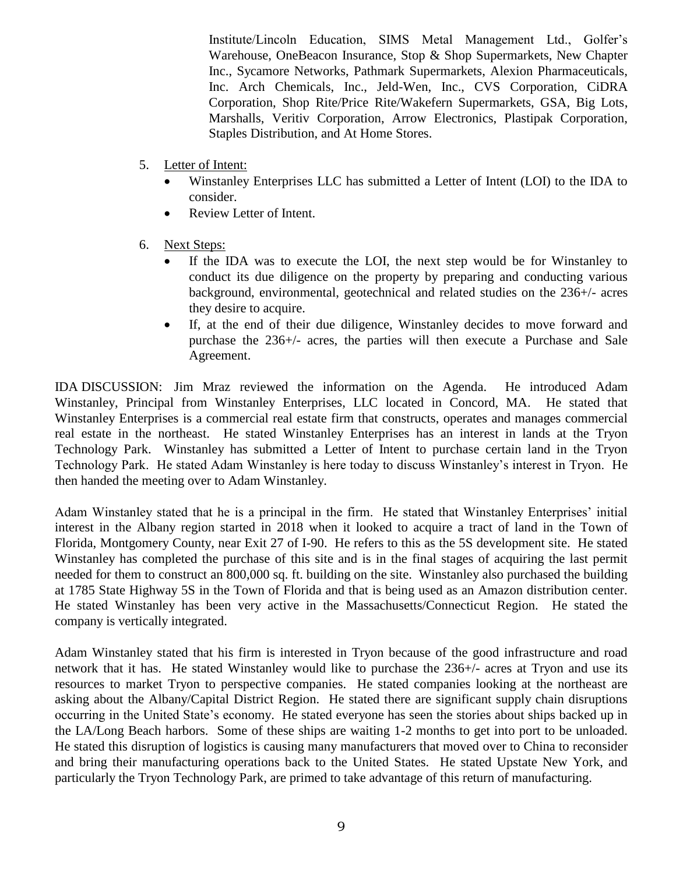Institute/Lincoln Education, SIMS Metal Management Ltd., Golfer's Warehouse, OneBeacon Insurance, Stop & Shop Supermarkets, New Chapter Inc., Sycamore Networks, Pathmark Supermarkets, Alexion Pharmaceuticals, Inc. Arch Chemicals, Inc., Jeld-Wen, Inc., CVS Corporation, CiDRA Corporation, Shop Rite/Price Rite/Wakefern Supermarkets, GSA, Big Lots, Marshalls, Veritiv Corporation, Arrow Electronics, Plastipak Corporation, Staples Distribution, and At Home Stores.

- 5. Letter of Intent:
	- Winstanley Enterprises LLC has submitted a Letter of Intent (LOI) to the IDA to consider.
	- Review Letter of Intent.
- 6. Next Steps:
	- If the IDA was to execute the LOI, the next step would be for Winstanley to conduct its due diligence on the property by preparing and conducting various background, environmental, geotechnical and related studies on the 236+/- acres they desire to acquire.
	- If, at the end of their due diligence, Winstanley decides to move forward and purchase the 236+/- acres, the parties will then execute a Purchase and Sale Agreement.

IDA DISCUSSION: Jim Mraz reviewed the information on the Agenda. He introduced Adam Winstanley, Principal from Winstanley Enterprises, LLC located in Concord, MA. He stated that Winstanley Enterprises is a commercial real estate firm that constructs, operates and manages commercial real estate in the northeast. He stated Winstanley Enterprises has an interest in lands at the Tryon Technology Park. Winstanley has submitted a Letter of Intent to purchase certain land in the Tryon Technology Park. He stated Adam Winstanley is here today to discuss Winstanley's interest in Tryon. He then handed the meeting over to Adam Winstanley.

Adam Winstanley stated that he is a principal in the firm. He stated that Winstanley Enterprises' initial interest in the Albany region started in 2018 when it looked to acquire a tract of land in the Town of Florida, Montgomery County, near Exit 27 of I-90. He refers to this as the 5S development site. He stated Winstanley has completed the purchase of this site and is in the final stages of acquiring the last permit needed for them to construct an 800,000 sq. ft. building on the site. Winstanley also purchased the building at 1785 State Highway 5S in the Town of Florida and that is being used as an Amazon distribution center. He stated Winstanley has been very active in the Massachusetts/Connecticut Region. He stated the company is vertically integrated.

Adam Winstanley stated that his firm is interested in Tryon because of the good infrastructure and road network that it has. He stated Winstanley would like to purchase the 236+/- acres at Tryon and use its resources to market Tryon to perspective companies. He stated companies looking at the northeast are asking about the Albany/Capital District Region. He stated there are significant supply chain disruptions occurring in the United State's economy. He stated everyone has seen the stories about ships backed up in the LA/Long Beach harbors. Some of these ships are waiting 1-2 months to get into port to be unloaded. He stated this disruption of logistics is causing many manufacturers that moved over to China to reconsider and bring their manufacturing operations back to the United States. He stated Upstate New York, and particularly the Tryon Technology Park, are primed to take advantage of this return of manufacturing.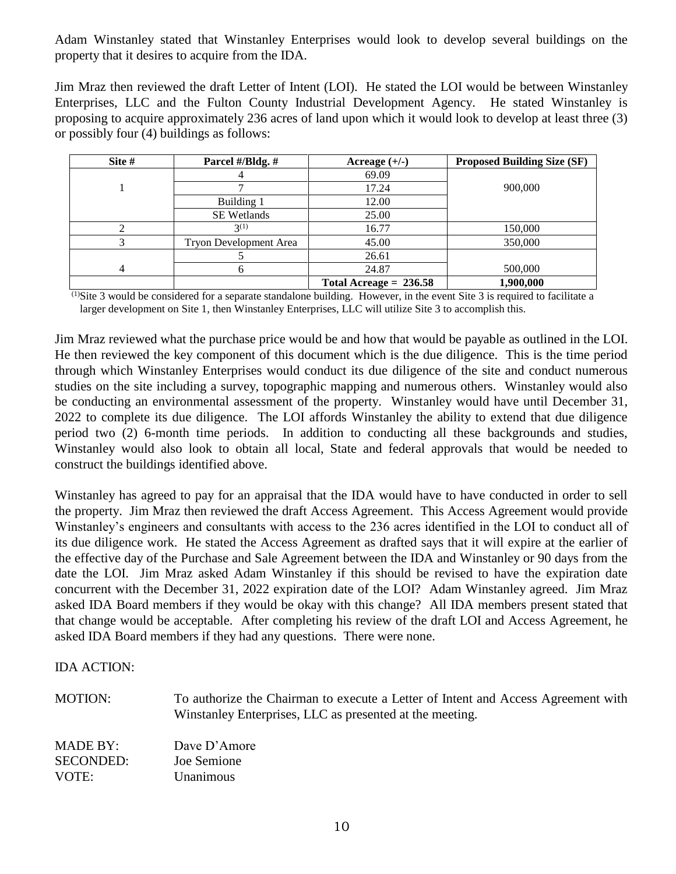Adam Winstanley stated that Winstanley Enterprises would look to develop several buildings on the property that it desires to acquire from the IDA.

Jim Mraz then reviewed the draft Letter of Intent (LOI). He stated the LOI would be between Winstanley Enterprises, LLC and the Fulton County Industrial Development Agency. He stated Winstanley is proposing to acquire approximately 236 acres of land upon which it would look to develop at least three (3) or possibly four (4) buildings as follows:

| Site # | Parcel #/Bldg. #       | Acreage $(+/-)$          | <b>Proposed Building Size (SF)</b> |
|--------|------------------------|--------------------------|------------------------------------|
|        | 4                      | 69.09                    |                                    |
|        |                        | 17.24                    | 900,000                            |
|        | Building 1             | 12.00                    |                                    |
|        | <b>SE</b> Wetlands     | 25.00                    |                                    |
|        | $3^{(1)}$              | 16.77                    | 150,000                            |
|        | Tryon Development Area | 45.00                    | 350,000                            |
|        |                        | 26.61                    |                                    |
| 4      | 6                      | 24.87                    | 500,000                            |
|        |                        | Total Acreage = $236.58$ | 1,900,000                          |

 $<sup>(1)</sup>$ Site 3 would be considered for a separate standalone building. However, in the event Site 3 is required to facilitate a</sup> larger development on Site 1, then Winstanley Enterprises, LLC will utilize Site 3 to accomplish this.

Jim Mraz reviewed what the purchase price would be and how that would be payable as outlined in the LOI. He then reviewed the key component of this document which is the due diligence. This is the time period through which Winstanley Enterprises would conduct its due diligence of the site and conduct numerous studies on the site including a survey, topographic mapping and numerous others. Winstanley would also be conducting an environmental assessment of the property. Winstanley would have until December 31, 2022 to complete its due diligence. The LOI affords Winstanley the ability to extend that due diligence period two (2) 6-month time periods. In addition to conducting all these backgrounds and studies, Winstanley would also look to obtain all local, State and federal approvals that would be needed to construct the buildings identified above.

Winstanley has agreed to pay for an appraisal that the IDA would have to have conducted in order to sell the property. Jim Mraz then reviewed the draft Access Agreement. This Access Agreement would provide Winstanley's engineers and consultants with access to the 236 acres identified in the LOI to conduct all of its due diligence work. He stated the Access Agreement as drafted says that it will expire at the earlier of the effective day of the Purchase and Sale Agreement between the IDA and Winstanley or 90 days from the date the LOI. Jim Mraz asked Adam Winstanley if this should be revised to have the expiration date concurrent with the December 31, 2022 expiration date of the LOI? Adam Winstanley agreed. Jim Mraz asked IDA Board members if they would be okay with this change? All IDA members present stated that that change would be acceptable. After completing his review of the draft LOI and Access Agreement, he asked IDA Board members if they had any questions. There were none.

IDA ACTION:

| <b>MOTION:</b>   | To authorize the Chairman to execute a Letter of Intent and Access Agreement with<br>Winstanley Enterprises, LLC as presented at the meeting. |
|------------------|-----------------------------------------------------------------------------------------------------------------------------------------------|
| MADE BY:         | Dave D'Amore                                                                                                                                  |
| <b>SECONDED:</b> | Joe Semione                                                                                                                                   |
| VOTE:            | Unanimous                                                                                                                                     |